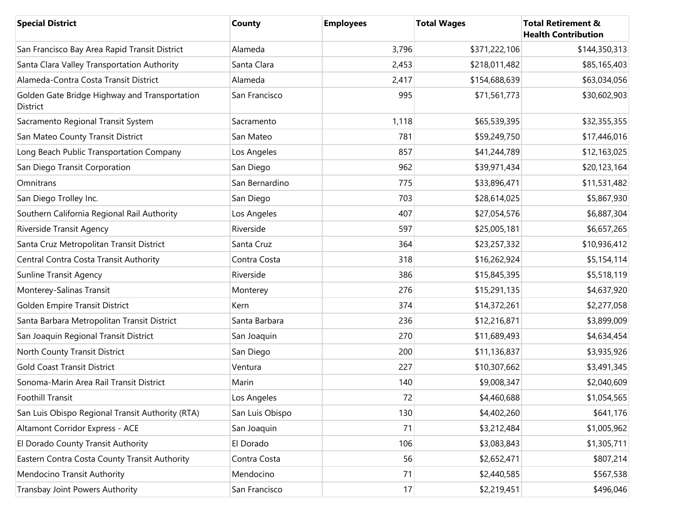| <b>Special District</b>                                   | County          | <b>Employees</b> | <b>Total Wages</b> | <b>Total Retirement &amp;</b><br><b>Health Contribution</b> |
|-----------------------------------------------------------|-----------------|------------------|--------------------|-------------------------------------------------------------|
| San Francisco Bay Area Rapid Transit District             | Alameda         | 3,796            | \$371,222,106      | \$144,350,313                                               |
| Santa Clara Valley Transportation Authority               | Santa Clara     | 2,453            | \$218,011,482      | \$85,165,403                                                |
| Alameda-Contra Costa Transit District                     | Alameda         | 2,417            | \$154,688,639      | \$63,034,056                                                |
| Golden Gate Bridge Highway and Transportation<br>District | San Francisco   | 995              | \$71,561,773       | \$30,602,903                                                |
| Sacramento Regional Transit System                        | Sacramento      | 1,118            | \$65,539,395       | \$32,355,355                                                |
| San Mateo County Transit District                         | San Mateo       | 781              | \$59,249,750       | \$17,446,016                                                |
| Long Beach Public Transportation Company                  | Los Angeles     | 857              | \$41,244,789       | \$12,163,025                                                |
| San Diego Transit Corporation                             | San Diego       | 962              | \$39,971,434       | \$20,123,164                                                |
| Omnitrans                                                 | San Bernardino  | 775              | \$33,896,471       | \$11,531,482                                                |
| San Diego Trolley Inc.                                    | San Diego       | 703              | \$28,614,025       | \$5,867,930                                                 |
| Southern California Regional Rail Authority               | Los Angeles     | 407              | \$27,054,576       | \$6,887,304                                                 |
| Riverside Transit Agency                                  | Riverside       | 597              | \$25,005,181       | \$6,657,265                                                 |
| Santa Cruz Metropolitan Transit District                  | Santa Cruz      | 364              | \$23,257,332       | \$10,936,412                                                |
| Central Contra Costa Transit Authority                    | Contra Costa    | 318              | \$16,262,924       | \$5,154,114                                                 |
| <b>Sunline Transit Agency</b>                             | Riverside       | 386              | \$15,845,395       | \$5,518,119                                                 |
| Monterey-Salinas Transit                                  | Monterey        | 276              | \$15,291,135       | \$4,637,920                                                 |
| Golden Empire Transit District                            | Kern            | 374              | \$14,372,261       | \$2,277,058                                                 |
| Santa Barbara Metropolitan Transit District               | Santa Barbara   | 236              | \$12,216,871       | \$3,899,009                                                 |
| San Joaquin Regional Transit District                     | San Joaquin     | 270              | \$11,689,493       | \$4,634,454                                                 |
| North County Transit District                             | San Diego       | 200              | \$11,136,837       | \$3,935,926                                                 |
| <b>Gold Coast Transit District</b>                        | Ventura         | 227              | \$10,307,662       | \$3,491,345                                                 |
| Sonoma-Marin Area Rail Transit District                   | Marin           | 140              | \$9,008,347        | \$2,040,609                                                 |
| Foothill Transit                                          | Los Angeles     | $72\,$           | \$4,460,688        | \$1,054,565                                                 |
| San Luis Obispo Regional Transit Authority (RTA)          | San Luis Obispo | 130              | \$4,402,260        | \$641,176                                                   |
| Altamont Corridor Express - ACE                           | San Joaquin     | 71               | \$3,212,484        | \$1,005,962                                                 |
| El Dorado County Transit Authority                        | El Dorado       | 106              | \$3,083,843        | \$1,305,711                                                 |
| Eastern Contra Costa County Transit Authority             | Contra Costa    | 56               | \$2,652,471        | \$807,214                                                   |
| Mendocino Transit Authority                               | Mendocino       | 71               | \$2,440,585        | \$567,538                                                   |
| Transbay Joint Powers Authority                           | San Francisco   | 17               | \$2,219,451        | \$496,046                                                   |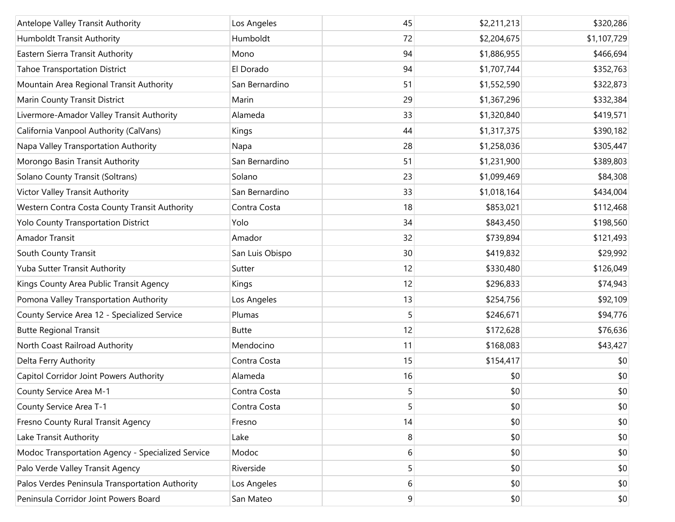| Antelope Valley Transit Authority                 | Los Angeles     | 45 | \$2,211,213 | \$320,286   |
|---------------------------------------------------|-----------------|----|-------------|-------------|
| Humboldt Transit Authority                        | Humboldt        | 72 | \$2,204,675 | \$1,107,729 |
| Eastern Sierra Transit Authority                  | Mono            | 94 | \$1,886,955 | \$466,694   |
| <b>Tahoe Transportation District</b>              | El Dorado       | 94 | \$1,707,744 | \$352,763   |
| Mountain Area Regional Transit Authority          | San Bernardino  | 51 | \$1,552,590 | \$322,873   |
| Marin County Transit District                     | Marin           | 29 | \$1,367,296 | \$332,384   |
| Livermore-Amador Valley Transit Authority         | Alameda         | 33 | \$1,320,840 | \$419,571   |
| California Vanpool Authority (CalVans)            | Kings           | 44 | \$1,317,375 | \$390,182   |
| Napa Valley Transportation Authority              | Napa            | 28 | \$1,258,036 | \$305,447   |
| Morongo Basin Transit Authority                   | San Bernardino  | 51 | \$1,231,900 | \$389,803   |
| Solano County Transit (Soltrans)                  | Solano          | 23 | \$1,099,469 | \$84,308    |
| Victor Valley Transit Authority                   | San Bernardino  | 33 | \$1,018,164 | \$434,004   |
| Western Contra Costa County Transit Authority     | Contra Costa    | 18 | \$853,021   | \$112,468   |
| Yolo County Transportation District               | Yolo            | 34 | \$843,450   | \$198,560   |
| Amador Transit                                    | Amador          | 32 | \$739,894   | \$121,493   |
| South County Transit                              | San Luis Obispo | 30 | \$419,832   | \$29,992    |
| Yuba Sutter Transit Authority                     | Sutter          | 12 | \$330,480   | \$126,049   |
| Kings County Area Public Transit Agency           | Kings           | 12 | \$296,833   | \$74,943    |
| Pomona Valley Transportation Authority            | Los Angeles     | 13 | \$254,756   | \$92,109    |
| County Service Area 12 - Specialized Service      | Plumas          | 5  | \$246,671   | \$94,776    |
| <b>Butte Regional Transit</b>                     | <b>Butte</b>    | 12 | \$172,628   | \$76,636    |
| North Coast Railroad Authority                    | Mendocino       | 11 | \$168,083   | \$43,427    |
| Delta Ferry Authority                             | Contra Costa    | 15 | \$154,417   | \$0         |
| Capitol Corridor Joint Powers Authority           | Alameda         | 16 | \$0         | \$0         |
| County Service Area M-1                           | Contra Costa    | 5  | \$0         | \$0         |
| County Service Area T-1                           | Contra Costa    | 5  | \$0         | \$0         |
| Fresno County Rural Transit Agency                | Fresno          | 14 | \$0         | \$0         |
| Lake Transit Authority                            | Lake            | 8  | \$0         | \$0         |
| Modoc Transportation Agency - Specialized Service | Modoc           | 6  | \$0         | \$0         |
| Palo Verde Valley Transit Agency                  | Riverside       | 5  | \$0         | \$0         |
| Palos Verdes Peninsula Transportation Authority   | Los Angeles     | 6  | \$0         | \$0         |
| Peninsula Corridor Joint Powers Board             | San Mateo       | 9  | \$0         | \$0         |